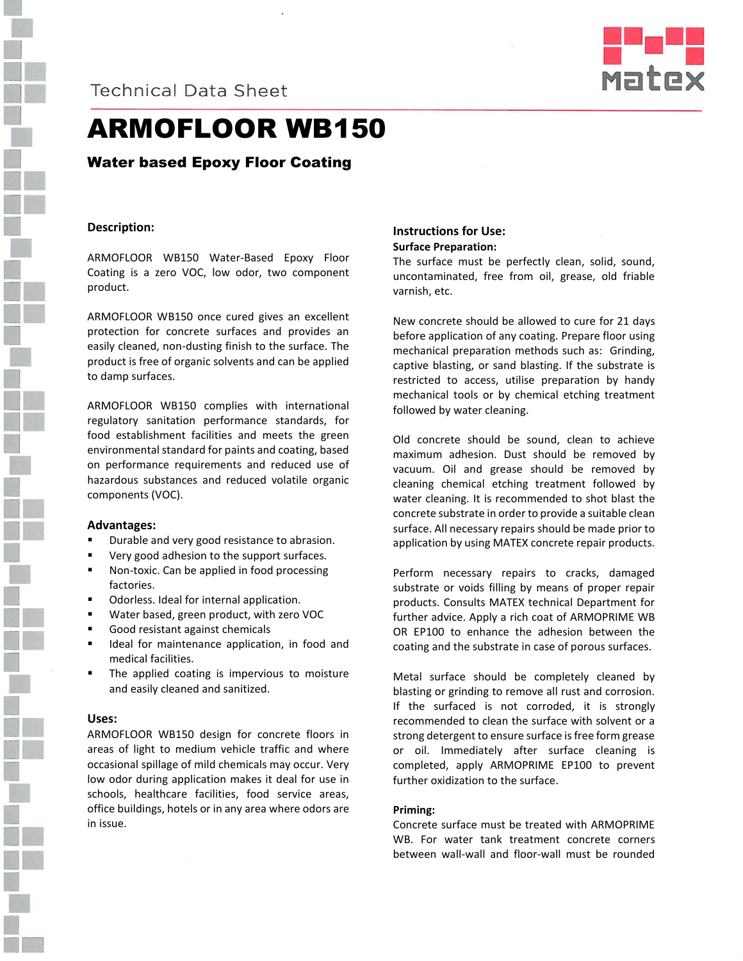



## ARMOFLOOR WB150

### Water based Epoxy Floor Coating

### **Description:**

ARMOFLOOR WB150 Water-Based Epoxy Floor Coating is a zero VOC, low odor, two component product.

ARMOFLOOR WB150 once cured gives an excellent protection for concrete surfaces and provides an easily cleaned, non-dusting finish to the surface. The product is free of organic solvents and can be applied to damp surfaces.

ARMOFLOOR WB150 complies with international regulatory sanitation performance standards, for food establishment facilities and meets the green environmental standard for paints and coating, based on performance requirements and reduced use of hazardous substances and reduced volatile organic components (VOC).

#### **Advantages:**

- Durable and very good resistance to abrasion.
- Very good adhesion to the support surfaces.
- Non-toxic. Can be applied in food processing factories.
- Odorless. Ideal for internal application.
- Water based, green product, with zero VOC
- Good resistant against chemicals
- **If** Ideal for maintenance application, in food and medical facilities.
- The applied coating is impervious to moisture and easily cleaned and sanitized.

#### **Uses:**

ARMOFLOOR WB150 design for concrete floors in areas of light to medium vehicle traffic and where occasional spillage of mild chemicals may occur. Very low odor during application makes it deal for use in schools, healthcare facilities, food service areas, office buildings, hotels or in any area where odors are in issue.

#### **Instructions for Use: Surface Preparation:**

The surface must be perfectly clean, solid, sound, uncontaminated, free from oil, grease, old friable varnish, etc.

New concrete should be allowed to cure for 21 days before application of any coating. Prepare floor using mechanical preparation methods such as: Grinding, captive blasting, or sand blasting. If the substrate is restricted to access, utilise preparation by handy mechanical tools or by chemical etching treatment followed by water cleaning.

Old concrete should be sound, clean to achieve maximum adhesion. Dust should be removed by vacuum. Oil and grease should be removed by cleaning chemical etching treatment followed by water cleaning. It is recommended to shot blast the concrete substrate in order to provide a suitable clean surface. All necessary repairs should be made prior to application by using MATEX concrete repair products.

Perform necessary repairs to cracks, damaged substrate or voids filling by means of proper repair products. Consults MATEX technical Department for further advice. Apply a rich coat of ARMOPRIME WB OR EP100 to enhance the adhesion between the coating and the substrate in case of porous surfaces.

Metal surface should be completely cleaned by blasting or grinding to remove all rust and corrosion. If the surfaced is not corroded, it is strongly recommended to clean the surface with solvent or a strong detergent to ensure surface is free form grease or oil. Immediately after surface cleaning is completed, apply ARMOPRIME EP100 to prevent further oxidization to the surface.

#### **Priming:**

Concrete surface must be treated with ARMOPRIME WB. For water tank treatment concrete corners between wall-wall and floor-wall must be rounded